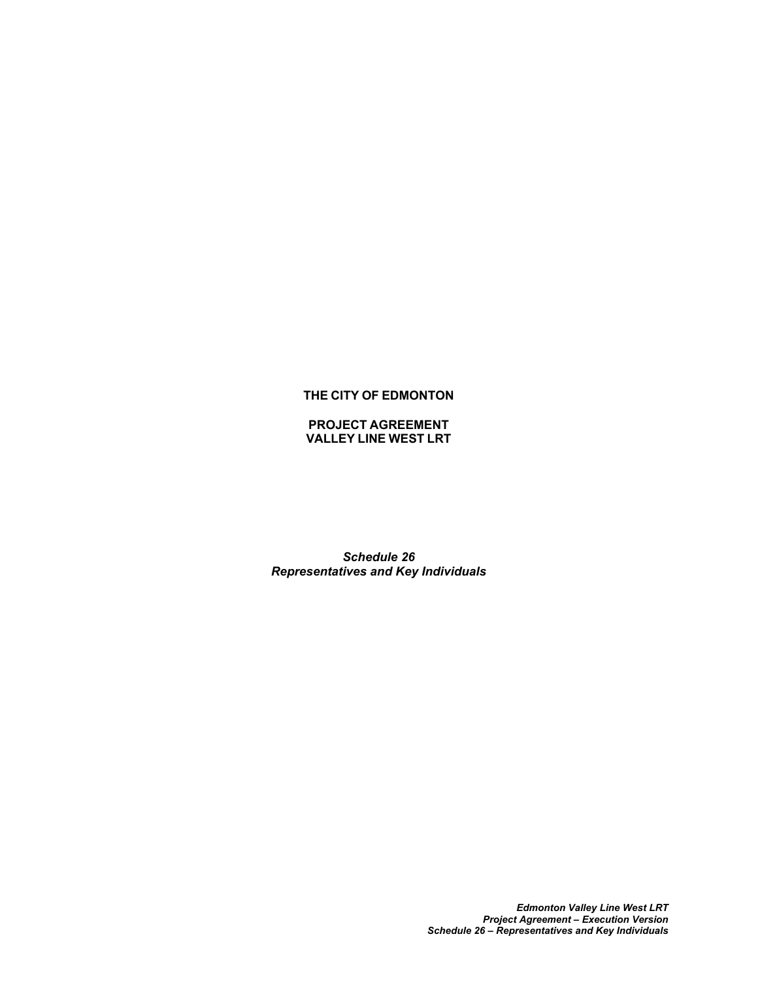# **THE CITY OF EDMONTON**

**PROJECT AGREEMENT VALLEY LINE WEST LRT**

*Schedule 26 Representatives and Key Individuals*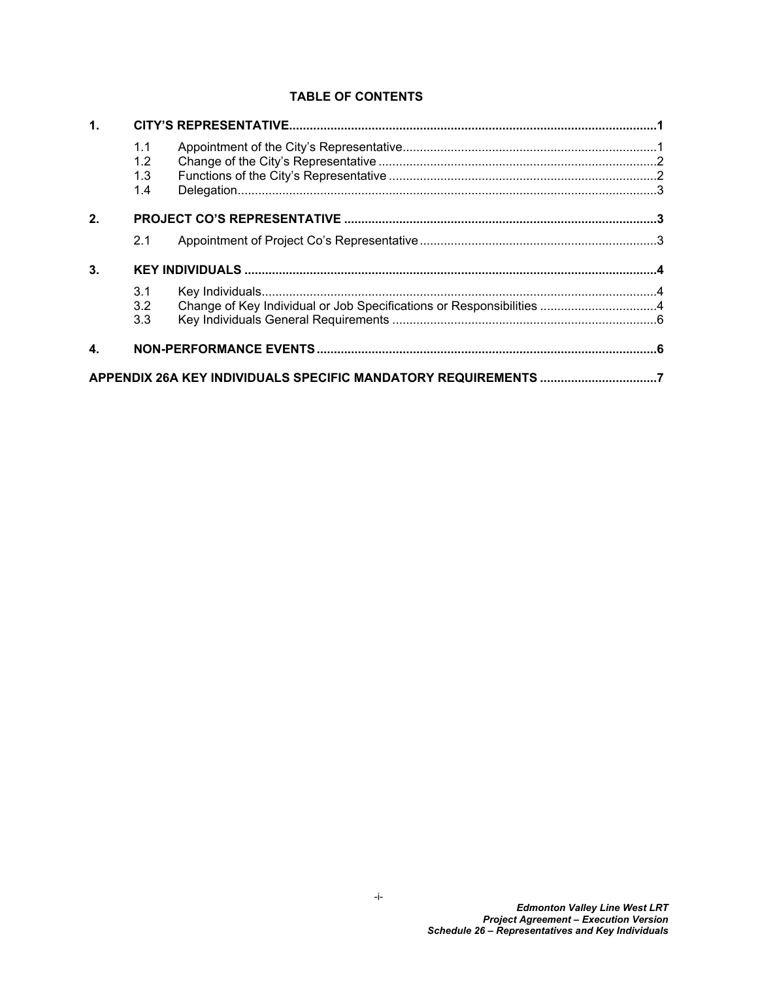# **TABLE OF CONTENTS**

| 1.             |            |                                                                      |  |
|----------------|------------|----------------------------------------------------------------------|--|
|                | 1.1<br>1.2 |                                                                      |  |
|                | 1.3<br>1.4 |                                                                      |  |
|                |            |                                                                      |  |
| 2 <sub>1</sub> |            |                                                                      |  |
|                | 2.1        |                                                                      |  |
| 3 <sub>1</sub> |            |                                                                      |  |
|                | 3.1        |                                                                      |  |
|                | 3.2        | Change of Key Individual or Job Specifications or Responsibilities 4 |  |
|                | 3.3        |                                                                      |  |
| $\mathbf{4}$   |            |                                                                      |  |
|                |            | APPENDIX 26A KEY INDIVIDUALS SPECIFIC MANDATORY REQUIREMENTS 7       |  |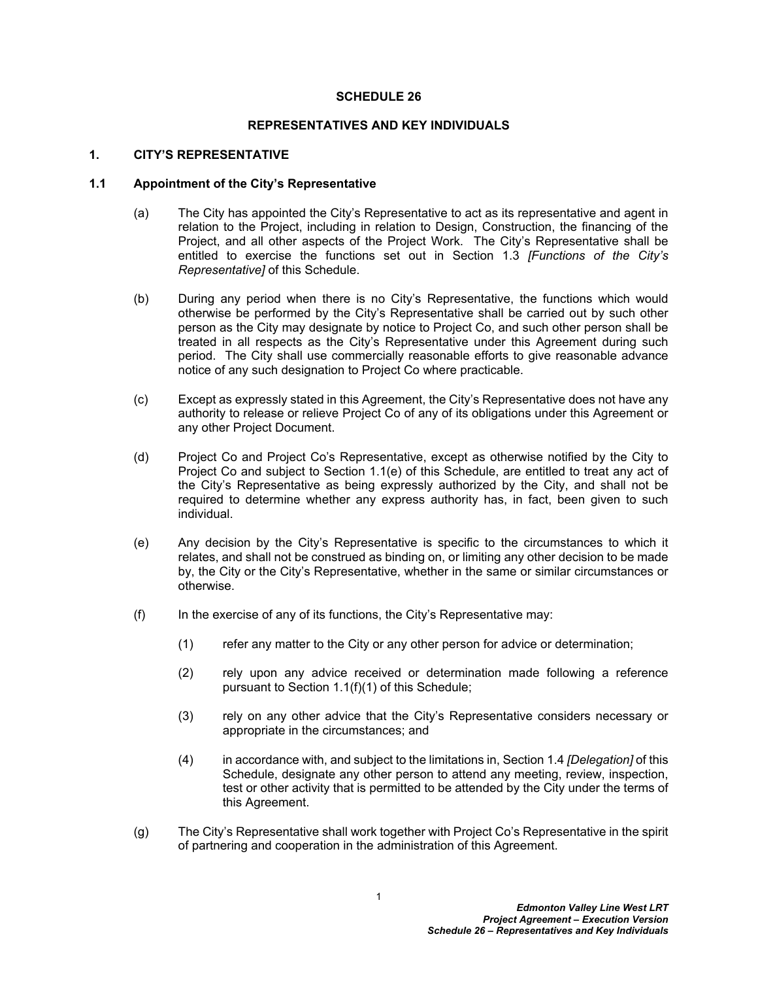### **SCHEDULE 26**

### **REPRESENTATIVES AND KEY INDIVIDUALS**

### <span id="page-2-0"></span>**1. CITY'S REPRESENTATIVE**

# <span id="page-2-1"></span>**1.1 Appointment of the City's Representative**

- (a) The City has appointed the City's Representative to act as its representative and agent in relation to the Project, including in relation to Design, Construction, the financing of the Project, and all other aspects of the Project Work. The City's Representative shall be entitled to exercise the functions set out in Section [1.3](#page-3-1) *[Functions of the City's Representative]* of this Schedule.
- (b) During any period when there is no City's Representative, the functions which would otherwise be performed by the City's Representative shall be carried out by such other person as the City may designate by notice to Project Co, and such other person shall be treated in all respects as the City's Representative under this Agreement during such period. The City shall use commercially reasonable efforts to give reasonable advance notice of any such designation to Project Co where practicable.
- (c) Except as expressly stated in this Agreement, the City's Representative does not have any authority to release or relieve Project Co of any of its obligations under this Agreement or any other Project Document.
- (d) Project Co and Project Co's Representative, except as otherwise notified by the City to Project Co and subject to Section [1.1\(e\)](#page-2-2) of this Schedule, are entitled to treat any act of the City's Representative as being expressly authorized by the City, and shall not be required to determine whether any express authority has, in fact, been given to such individual.
- <span id="page-2-2"></span>(e) Any decision by the City's Representative is specific to the circumstances to which it relates, and shall not be construed as binding on, or limiting any other decision to be made by, the City or the City's Representative, whether in the same or similar circumstances or otherwise.
- <span id="page-2-3"></span> $(f)$  In the exercise of any of its functions, the City's Representative may:
	- (1) refer any matter to the City or any other person for advice or determination;
	- (2) rely upon any advice received or determination made following a reference pursuant to Section [1.1\(f\)\(1\)](#page-2-3) of this Schedule;
	- (3) rely on any other advice that the City's Representative considers necessary or appropriate in the circumstances; and
	- (4) in accordance with, and subject to the limitations in, Section [1.4](#page-4-0) *[Delegation]* of this Schedule, designate any other person to attend any meeting, review, inspection, test or other activity that is permitted to be attended by the City under the terms of this Agreement.
- (g) The City's Representative shall work together with Project Co's Representative in the spirit of partnering and cooperation in the administration of this Agreement.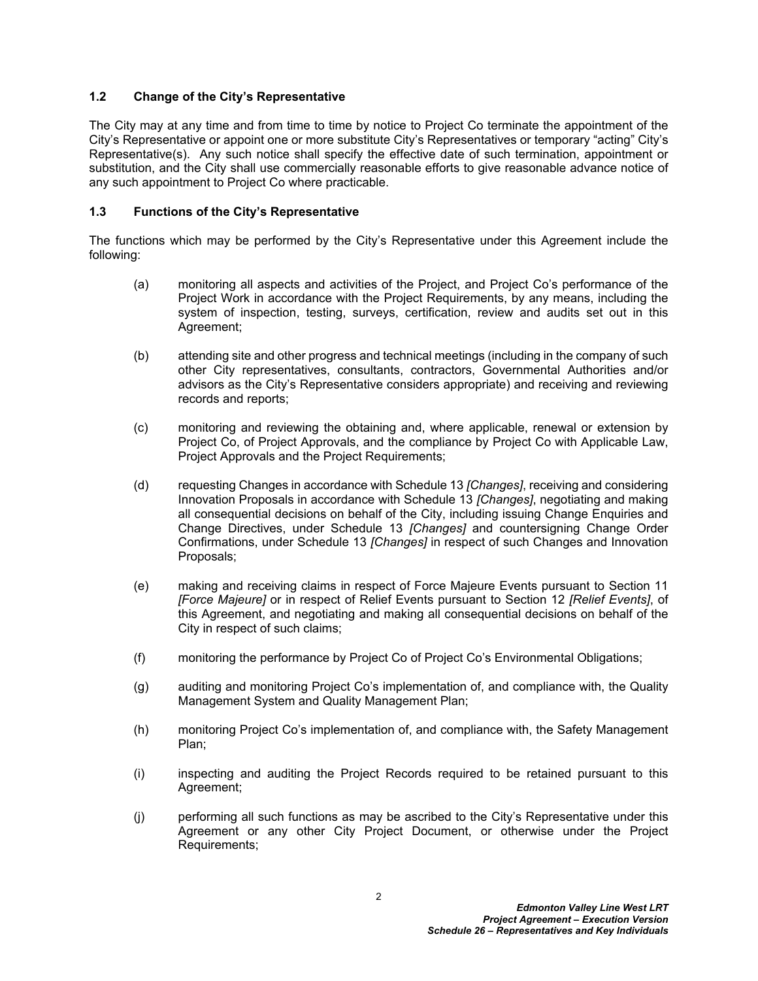# <span id="page-3-0"></span>**1.2 Change of the City's Representative**

The City may at any time and from time to time by notice to Project Co terminate the appointment of the City's Representative or appoint one or more substitute City's Representatives or temporary "acting" City's Representative(s). Any such notice shall specify the effective date of such termination, appointment or substitution, and the City shall use commercially reasonable efforts to give reasonable advance notice of any such appointment to Project Co where practicable.

# <span id="page-3-1"></span>**1.3 Functions of the City's Representative**

The functions which may be performed by the City's Representative under this Agreement include the following:

- (a) monitoring all aspects and activities of the Project, and Project Co's performance of the Project Work in accordance with the Project Requirements, by any means, including the system of inspection, testing, surveys, certification, review and audits set out in this Agreement;
- (b) attending site and other progress and technical meetings (including in the company of such other City representatives, consultants, contractors, Governmental Authorities and/or advisors as the City's Representative considers appropriate) and receiving and reviewing records and reports;
- (c) monitoring and reviewing the obtaining and, where applicable, renewal or extension by Project Co, of Project Approvals, and the compliance by Project Co with Applicable Law, Project Approvals and the Project Requirements;
- (d) requesting Changes in accordance with Schedule 13 *[Changes]*, receiving and considering Innovation Proposals in accordance with Schedule 13 *[Changes]*, negotiating and making all consequential decisions on behalf of the City, including issuing Change Enquiries and Change Directives, under Schedule 13 *[Changes]* and countersigning Change Order Confirmations, under Schedule 13 *[Changes]* in respect of such Changes and Innovation Proposals;
- (e) making and receiving claims in respect of Force Majeure Events pursuant to Section 11 *[Force Majeure]* or in respect of Relief Events pursuant to Section 12 *[Relief Events]*, of this Agreement, and negotiating and making all consequential decisions on behalf of the City in respect of such claims;
- (f) monitoring the performance by Project Co of Project Co's Environmental Obligations;
- (g) auditing and monitoring Project Co's implementation of, and compliance with, the Quality Management System and Quality Management Plan;
- (h) monitoring Project Co's implementation of, and compliance with, the Safety Management Plan;
- (i) inspecting and auditing the Project Records required to be retained pursuant to this Agreement;
- (j) performing all such functions as may be ascribed to the City's Representative under this Agreement or any other City Project Document, or otherwise under the Project Requirements;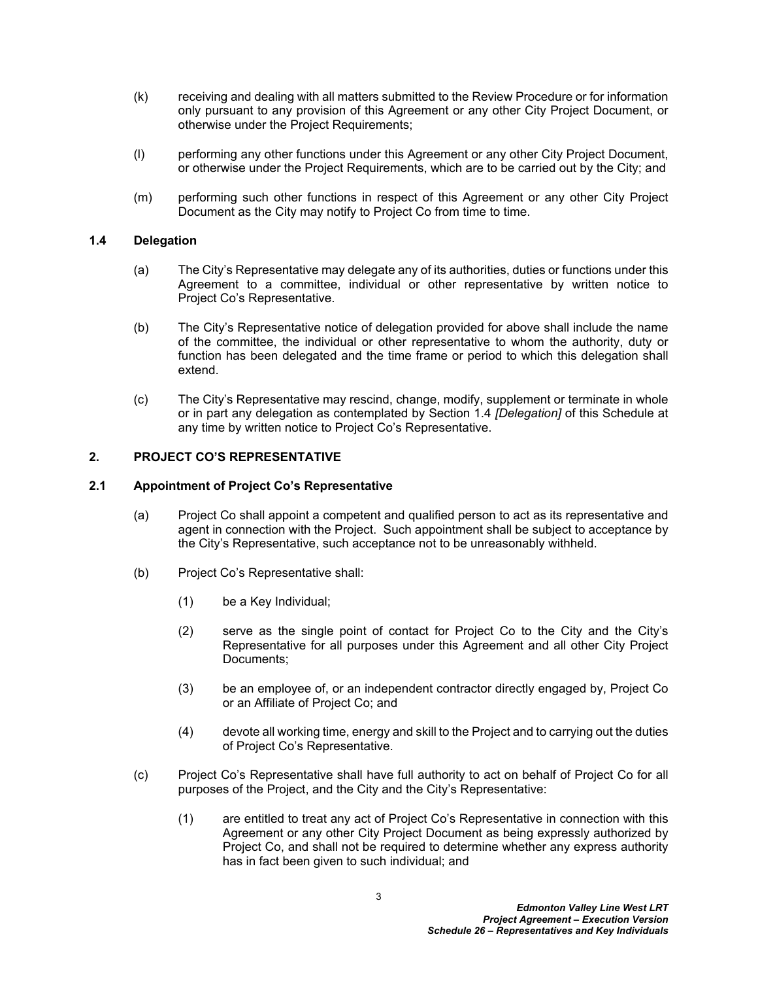- (k) receiving and dealing with all matters submitted to the Review Procedure or for information only pursuant to any provision of this Agreement or any other City Project Document, or otherwise under the Project Requirements;
- (l) performing any other functions under this Agreement or any other City Project Document, or otherwise under the Project Requirements, which are to be carried out by the City; and
- (m) performing such other functions in respect of this Agreement or any other City Project Document as the City may notify to Project Co from time to time.

# <span id="page-4-0"></span>**1.4 Delegation**

- (a) The City's Representative may delegate any of its authorities, duties or functions under this Agreement to a committee, individual or other representative by written notice to Project Co's Representative.
- (b) The City's Representative notice of delegation provided for above shall include the name of the committee, the individual or other representative to whom the authority, duty or function has been delegated and the time frame or period to which this delegation shall extend.
- (c) The City's Representative may rescind, change, modify, supplement or terminate in whole or in part any delegation as contemplated by Section [1.4](#page-4-0) *[Delegation]* of this Schedule at any time by written notice to Project Co's Representative.

# <span id="page-4-1"></span>**2. PROJECT CO'S REPRESENTATIVE**

# <span id="page-4-2"></span>**2.1 Appointment of Project Co's Representative**

- (a) Project Co shall appoint a competent and qualified person to act as its representative and agent in connection with the Project. Such appointment shall be subject to acceptance by the City's Representative, such acceptance not to be unreasonably withheld.
- (b) Project Co's Representative shall:
	- (1) be a Key Individual;
	- (2) serve as the single point of contact for Project Co to the City and the City's Representative for all purposes under this Agreement and all other City Project Documents;
	- (3) be an employee of, or an independent contractor directly engaged by, Project Co or an Affiliate of Project Co; and
	- (4) devote all working time, energy and skill to the Project and to carrying out the duties of Project Co's Representative.
- (c) Project Co's Representative shall have full authority to act on behalf of Project Co for all purposes of the Project, and the City and the City's Representative:
	- (1) are entitled to treat any act of Project Co's Representative in connection with this Agreement or any other City Project Document as being expressly authorized by Project Co, and shall not be required to determine whether any express authority has in fact been given to such individual; and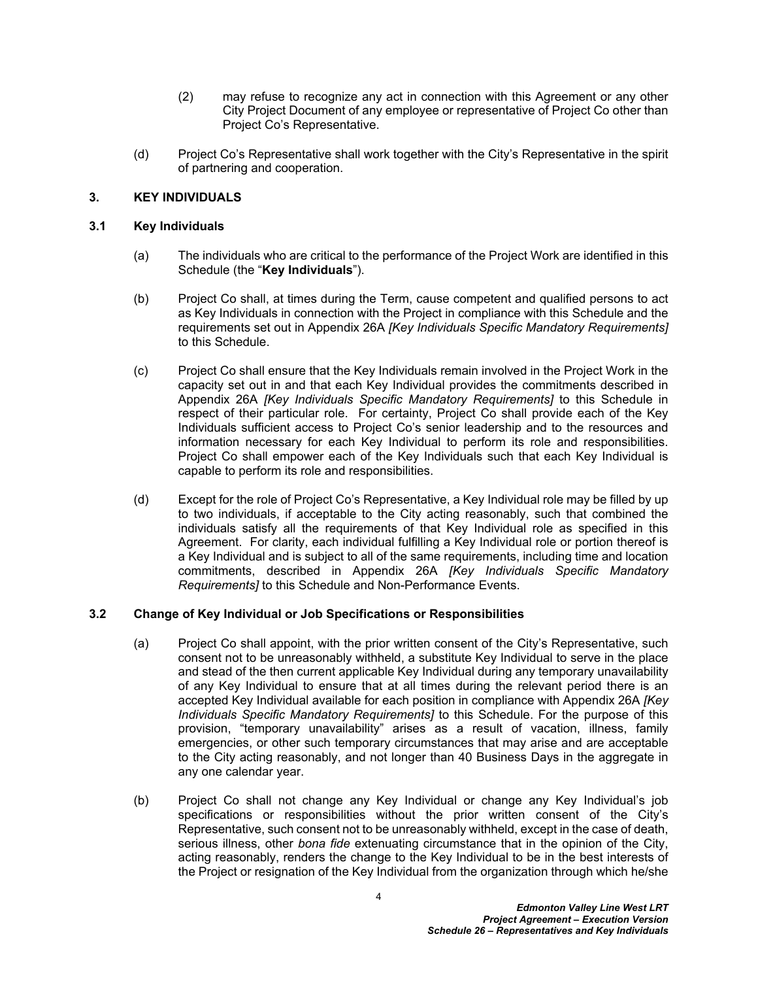- (2) may refuse to recognize any act in connection with this Agreement or any other City Project Document of any employee or representative of Project Co other than Project Co's Representative.
- (d) Project Co's Representative shall work together with the City's Representative in the spirit of partnering and cooperation.

# <span id="page-5-0"></span>**3. KEY INDIVIDUALS**

# <span id="page-5-1"></span>**3.1 Key Individuals**

- (a) The individuals who are critical to the performance of the Project Work are identified in this Schedule (the "**Key Individuals**").
- (b) Project Co shall, at times during the Term, cause competent and qualified persons to act as Key Individuals in connection with the Project in compliance with this Schedule and the requirements set out in [Appendix 26A](#page-8-0) *[Key Individuals Specific Mandatory Requirements]* to this Schedule.
- (c) Project Co shall ensure that the Key Individuals remain involved in the Project Work in the capacity set out in and that each Key Individual provides the commitments described in [Appendix 26A](#page-8-0) *[Key Individuals Specific Mandatory Requirements]* to this Schedule in respect of their particular role. For certainty, Project Co shall provide each of the Key Individuals sufficient access to Project Co's senior leadership and to the resources and information necessary for each Key Individual to perform its role and responsibilities. Project Co shall empower each of the Key Individuals such that each Key Individual is capable to perform its role and responsibilities.
- (d) Except for the role of Project Co's Representative, a Key Individual role may be filled by up to two individuals, if acceptable to the City acting reasonably, such that combined the individuals satisfy all the requirements of that Key Individual role as specified in this Agreement. For clarity, each individual fulfilling a Key Individual role or portion thereof is a Key Individual and is subject to all of the same requirements, including time and location commitments, described in [Appendix 26A](#page-8-0) *[Key Individuals Specific Mandatory Requirements]* to this Schedule and Non-Performance Events.

## <span id="page-5-2"></span>**3.2 Change of Key Individual or Job Specifications or Responsibilities**

- (a) Project Co shall appoint, with the prior written consent of the City's Representative, such consent not to be unreasonably withheld, a substitute Key Individual to serve in the place and stead of the then current applicable Key Individual during any temporary unavailability of any Key Individual to ensure that at all times during the relevant period there is an accepted Key Individual available for each position in compliance with [Appendix 26A](#page-8-0) *[Key Individuals Specific Mandatory Requirements]* to this Schedule. For the purpose of this provision, "temporary unavailability" arises as a result of vacation, illness, family emergencies, or other such temporary circumstances that may arise and are acceptable to the City acting reasonably, and not longer than 40 Business Days in the aggregate in any one calendar year.
- <span id="page-5-3"></span>(b) Project Co shall not change any Key Individual or change any Key Individual's job specifications or responsibilities without the prior written consent of the City's Representative, such consent not to be unreasonably withheld, except in the case of death, serious illness, other *bona fide* extenuating circumstance that in the opinion of the City, acting reasonably, renders the change to the Key Individual to be in the best interests of the Project or resignation of the Key Individual from the organization through which he/she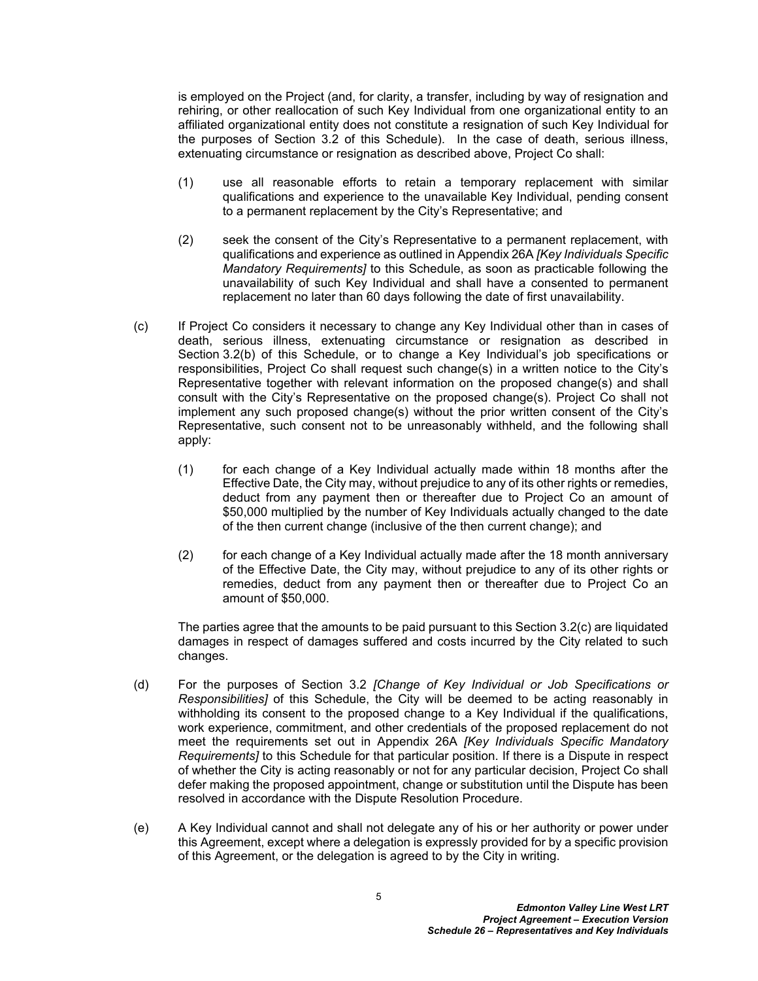is employed on the Project (and, for clarity, a transfer, including by way of resignation and rehiring, or other reallocation of such Key Individual from one organizational entity to an affiliated organizational entity does not constitute a resignation of such Key Individual for the purposes of Section [3.2](#page-5-2) of this Schedule). In the case of death, serious illness, extenuating circumstance or resignation as described above, Project Co shall:

- (1) use all reasonable efforts to retain a temporary replacement with similar qualifications and experience to the unavailable Key Individual, pending consent to a permanent replacement by the City's Representative; and
- (2) seek the consent of the City's Representative to a permanent replacement, with qualifications and experience as outlined in [Appendix 26A](#page-8-0) *[Key Individuals Specific Mandatory Requirements]* to this Schedule, as soon as practicable following the unavailability of such Key Individual and shall have a consented to permanent replacement no later than 60 days following the date of first unavailability.
- <span id="page-6-0"></span>(c) If Project Co considers it necessary to change any Key Individual other than in cases of death, serious illness, extenuating circumstance or resignation as described in Section [3.2\(b\)](#page-5-3) of this Schedule, or to change a Key Individual's job specifications or responsibilities, Project Co shall request such change(s) in a written notice to the City's Representative together with relevant information on the proposed change(s) and shall consult with the City's Representative on the proposed change(s). Project Co shall not implement any such proposed change(s) without the prior written consent of the City's Representative, such consent not to be unreasonably withheld, and the following shall apply:
	- (1) for each change of a Key Individual actually made within 18 months after the Effective Date, the City may, without prejudice to any of its other rights or remedies, deduct from any payment then or thereafter due to Project Co an amount of \$50,000 multiplied by the number of Key Individuals actually changed to the date of the then current change (inclusive of the then current change); and
	- (2) for each change of a Key Individual actually made after the 18 month anniversary of the Effective Date, the City may, without prejudice to any of its other rights or remedies, deduct from any payment then or thereafter due to Project Co an amount of \$50,000.

The parties agree that the amounts to be paid pursuant to this Section [3.2\(c\)](#page-6-0) are liquidated damages in respect of damages suffered and costs incurred by the City related to such changes.

- (d) For the purposes of Section [3.2](#page-5-2) *[Change of Key Individual or Job Specifications or Responsibilities]* of this Schedule, the City will be deemed to be acting reasonably in withholding its consent to the proposed change to a Key Individual if the qualifications, work experience, commitment, and other credentials of the proposed replacement do not meet the requirements set out in [Appendix 26A](#page-8-0) *[Key Individuals Specific Mandatory Requirements]* to this Schedule for that particular position. If there is a Dispute in respect of whether the City is acting reasonably or not for any particular decision, Project Co shall defer making the proposed appointment, change or substitution until the Dispute has been resolved in accordance with the Dispute Resolution Procedure.
- (e) A Key Individual cannot and shall not delegate any of his or her authority or power under this Agreement, except where a delegation is expressly provided for by a specific provision of this Agreement, or the delegation is agreed to by the City in writing.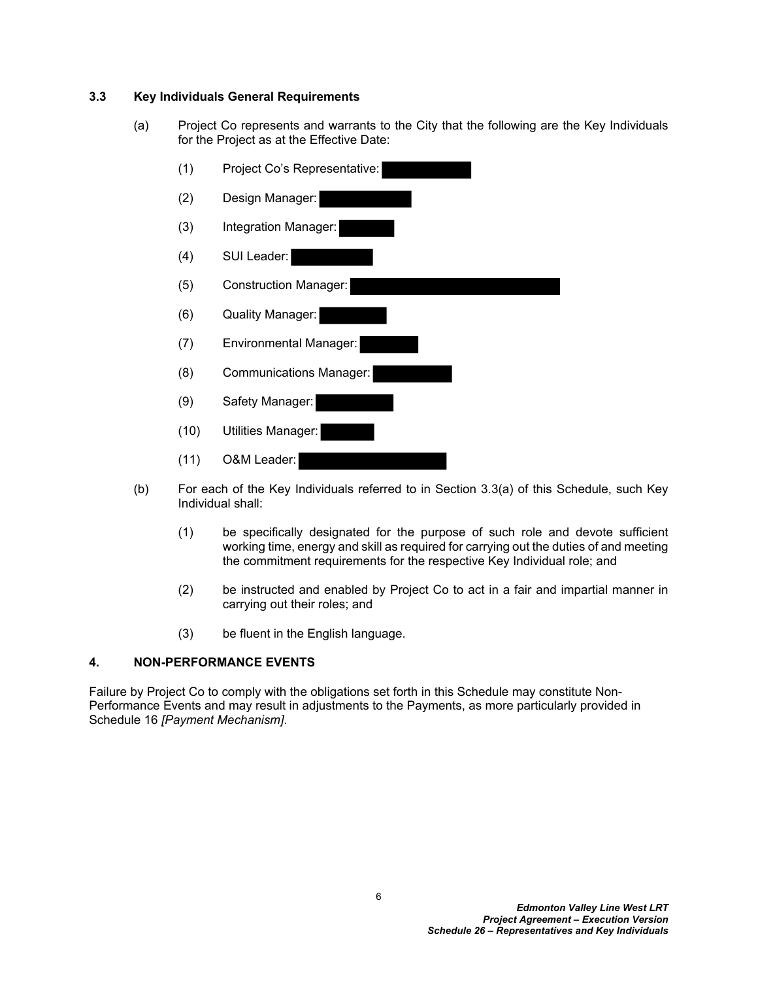# <span id="page-7-0"></span>**3.3 Key Individuals General Requirements**

<span id="page-7-2"></span>(a) Project Co represents and warrants to the City that the following are the Key Individuals for the Project as at the Effective Date:



- (b) For each of the Key Individuals referred to in Section [3.3\(a\)](#page-7-2) of this Schedule, such Key Individual shall:
	- (1) be specifically designated for the purpose of such role and devote sufficient working time, energy and skill as required for carrying out the duties of and meeting the commitment requirements for the respective Key Individual role; and
	- (2) be instructed and enabled by Project Co to act in a fair and impartial manner in carrying out their roles; and
	- (3) be fluent in the English language.

# <span id="page-7-1"></span>**4. NON-PERFORMANCE EVENTS**

Failure by Project Co to comply with the obligations set forth in this Schedule may constitute Non-Performance Events and may result in adjustments to the Payments, as more particularly provided in Schedule 16 *[Payment Mechanism]*.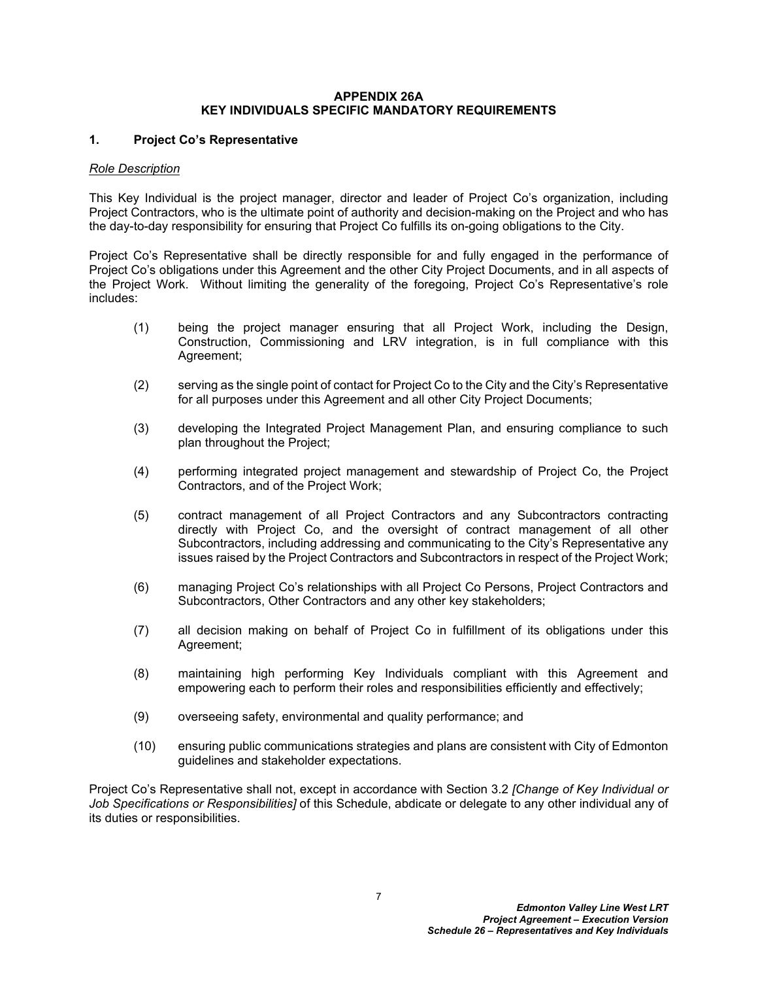### <span id="page-8-0"></span>**APPENDIX 26A KEY INDIVIDUALS SPECIFIC MANDATORY REQUIREMENTS**

## **1. Project Co's Representative**

### *Role Description*

This Key Individual is the project manager, director and leader of Project Co's organization, including Project Contractors, who is the ultimate point of authority and decision-making on the Project and who has the day-to-day responsibility for ensuring that Project Co fulfills its on-going obligations to the City.

Project Co's Representative shall be directly responsible for and fully engaged in the performance of Project Co's obligations under this Agreement and the other City Project Documents, and in all aspects of the Project Work. Without limiting the generality of the foregoing, Project Co's Representative's role includes:

- (1) being the project manager ensuring that all Project Work, including the Design, Construction, Commissioning and LRV integration, is in full compliance with this Agreement;
- (2) serving as the single point of contact for Project Co to the City and the City's Representative for all purposes under this Agreement and all other City Project Documents;
- (3) developing the Integrated Project Management Plan, and ensuring compliance to such plan throughout the Project;
- (4) performing integrated project management and stewardship of Project Co, the Project Contractors, and of the Project Work;
- (5) contract management of all Project Contractors and any Subcontractors contracting directly with Project Co, and the oversight of contract management of all other Subcontractors, including addressing and communicating to the City's Representative any issues raised by the Project Contractors and Subcontractors in respect of the Project Work;
- (6) managing Project Co's relationships with all Project Co Persons, Project Contractors and Subcontractors, Other Contractors and any other key stakeholders;
- (7) all decision making on behalf of Project Co in fulfillment of its obligations under this Agreement;
- (8) maintaining high performing Key Individuals compliant with this Agreement and empowering each to perform their roles and responsibilities efficiently and effectively;
- (9) overseeing safety, environmental and quality performance; and
- (10) ensuring public communications strategies and plans are consistent with City of Edmonton guidelines and stakeholder expectations.

Project Co's Representative shall not, except in accordance with Section [3.2](#page-5-2) *[Change of Key Individual or Job Specifications or Responsibilities]* of this Schedule, abdicate or delegate to any other individual any of its duties or responsibilities.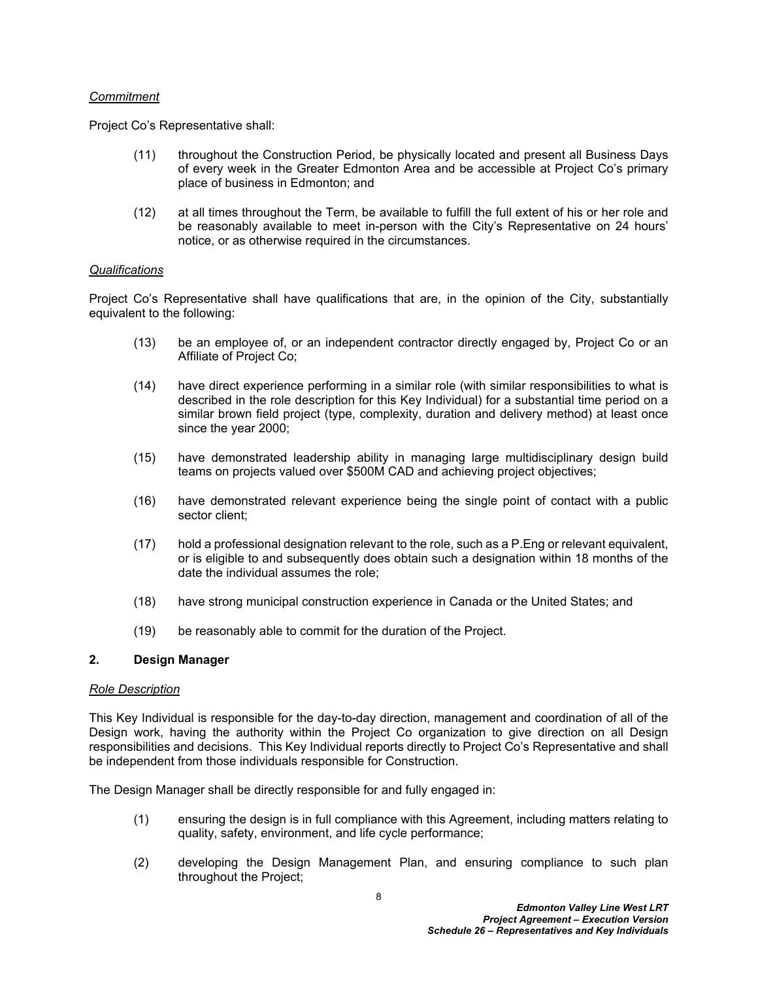### *Commitment*

Project Co's Representative shall:

- (11) throughout the Construction Period, be physically located and present all Business Days of every week in the Greater Edmonton Area and be accessible at Project Co's primary place of business in Edmonton; and
- (12) at all times throughout the Term, be available to fulfill the full extent of his or her role and be reasonably available to meet in-person with the City's Representative on 24 hours' notice, or as otherwise required in the circumstances.

### *Qualifications*

Project Co's Representative shall have qualifications that are, in the opinion of the City, substantially equivalent to the following:

- (13) be an employee of, or an independent contractor directly engaged by, Project Co or an Affiliate of Project Co;
- (14) have direct experience performing in a similar role (with similar responsibilities to what is described in the role description for this Key Individual) for a substantial time period on a similar brown field project (type, complexity, duration and delivery method) at least once since the year 2000;
- (15) have demonstrated leadership ability in managing large multidisciplinary design build teams on projects valued over \$500M CAD and achieving project objectives;
- (16) have demonstrated relevant experience being the single point of contact with a public sector client;
- (17) hold a professional designation relevant to the role, such as a P.Eng or relevant equivalent, or is eligible to and subsequently does obtain such a designation within 18 months of the date the individual assumes the role;
- (18) have strong municipal construction experience in Canada or the United States; and
- (19) be reasonably able to commit for the duration of the Project.

### **2. Design Manager**

#### *Role Description*

This Key Individual is responsible for the day-to-day direction, management and coordination of all of the Design work, having the authority within the Project Co organization to give direction on all Design responsibilities and decisions. This Key Individual reports directly to Project Co's Representative and shall be independent from those individuals responsible for Construction.

The Design Manager shall be directly responsible for and fully engaged in:

- (1) ensuring the design is in full compliance with this Agreement, including matters relating to quality, safety, environment, and life cycle performance;
- (2) developing the Design Management Plan, and ensuring compliance to such plan throughout the Project;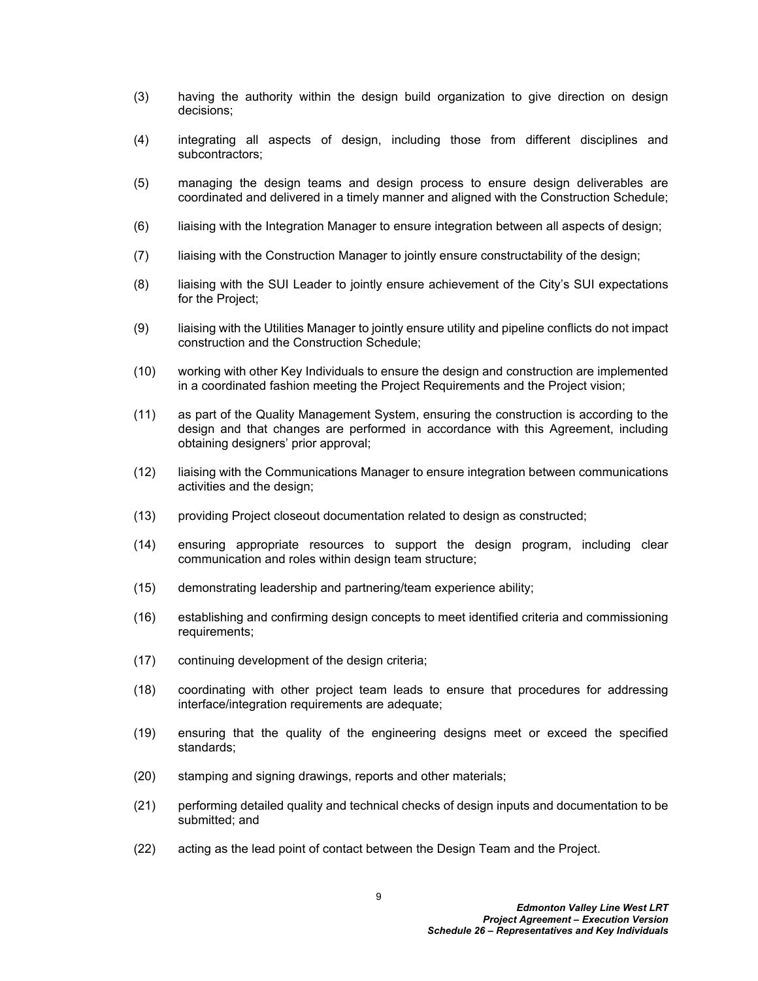- (3) having the authority within the design build organization to give direction on design decisions;
- (4) integrating all aspects of design, including those from different disciplines and subcontractors;
- (5) managing the design teams and design process to ensure design deliverables are coordinated and delivered in a timely manner and aligned with the Construction Schedule;
- (6) liaising with the Integration Manager to ensure integration between all aspects of design;
- (7) liaising with the Construction Manager to jointly ensure constructability of the design;
- (8) liaising with the SUI Leader to jointly ensure achievement of the City's SUI expectations for the Project;
- (9) liaising with the Utilities Manager to jointly ensure utility and pipeline conflicts do not impact construction and the Construction Schedule;
- (10) working with other Key Individuals to ensure the design and construction are implemented in a coordinated fashion meeting the Project Requirements and the Project vision;
- (11) as part of the Quality Management System, ensuring the construction is according to the design and that changes are performed in accordance with this Agreement, including obtaining designers' prior approval;
- (12) liaising with the Communications Manager to ensure integration between communications activities and the design;
- (13) providing Project closeout documentation related to design as constructed;
- (14) ensuring appropriate resources to support the design program, including clear communication and roles within design team structure;
- (15) demonstrating leadership and partnering/team experience ability;
- (16) establishing and confirming design concepts to meet identified criteria and commissioning requirements;
- (17) continuing development of the design criteria;
- (18) coordinating with other project team leads to ensure that procedures for addressing interface/integration requirements are adequate;
- (19) ensuring that the quality of the engineering designs meet or exceed the specified standards;
- (20) stamping and signing drawings, reports and other materials;
- (21) performing detailed quality and technical checks of design inputs and documentation to be submitted; and
- (22) acting as the lead point of contact between the Design Team and the Project.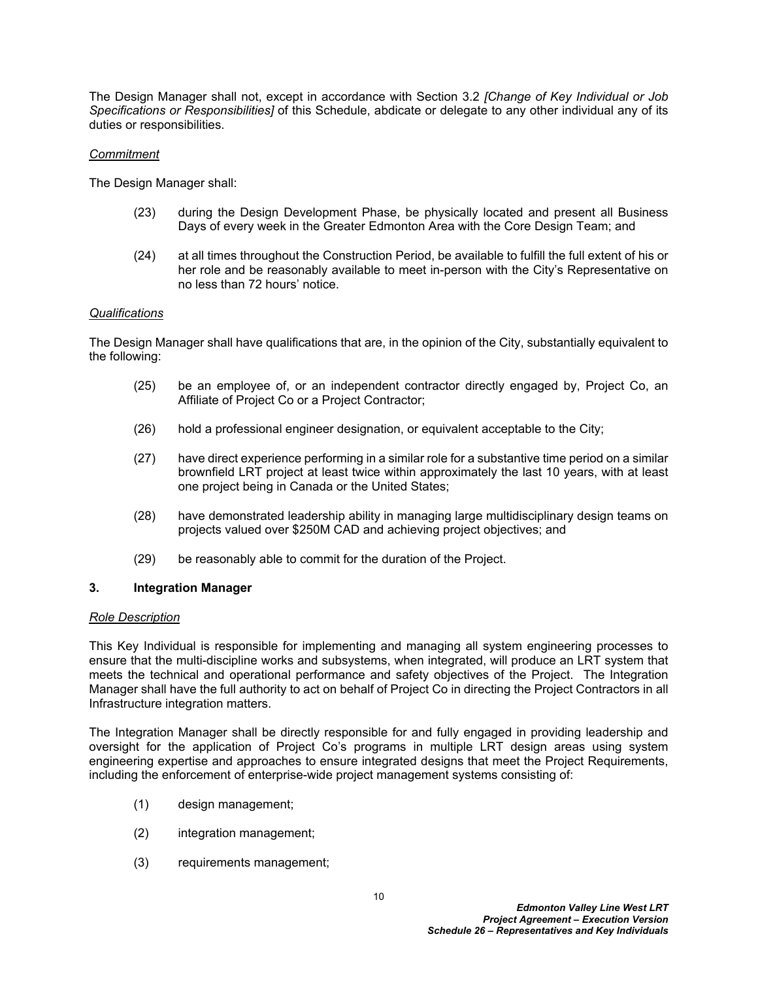The Design Manager shall not, except in accordance with Section [3.2](#page-5-2) *[Change of Key Individual or Job Specifications or Responsibilities]* of this Schedule, abdicate or delegate to any other individual any of its duties or responsibilities.

## *Commitment*

The Design Manager shall:

- (23) during the Design Development Phase, be physically located and present all Business Days of every week in the Greater Edmonton Area with the Core Design Team; and
- (24) at all times throughout the Construction Period, be available to fulfill the full extent of his or her role and be reasonably available to meet in-person with the City's Representative on no less than 72 hours' notice.

# *Qualifications*

The Design Manager shall have qualifications that are, in the opinion of the City, substantially equivalent to the following:

- (25) be an employee of, or an independent contractor directly engaged by, Project Co, an Affiliate of Project Co or a Project Contractor;
- (26) hold a professional engineer designation, or equivalent acceptable to the City;
- (27) have direct experience performing in a similar role for a substantive time period on a similar brownfield LRT project at least twice within approximately the last 10 years, with at least one project being in Canada or the United States;
- (28) have demonstrated leadership ability in managing large multidisciplinary design teams on projects valued over \$250M CAD and achieving project objectives; and
- (29) be reasonably able to commit for the duration of the Project.

### **3. Integration Manager**

### *Role Description*

This Key Individual is responsible for implementing and managing all system engineering processes to ensure that the multi-discipline works and subsystems, when integrated, will produce an LRT system that meets the technical and operational performance and safety objectives of the Project. The Integration Manager shall have the full authority to act on behalf of Project Co in directing the Project Contractors in all Infrastructure integration matters.

The Integration Manager shall be directly responsible for and fully engaged in providing leadership and oversight for the application of Project Co's programs in multiple LRT design areas using system engineering expertise and approaches to ensure integrated designs that meet the Project Requirements, including the enforcement of enterprise-wide project management systems consisting of:

- (1) design management;
- (2) integration management;
- (3) requirements management;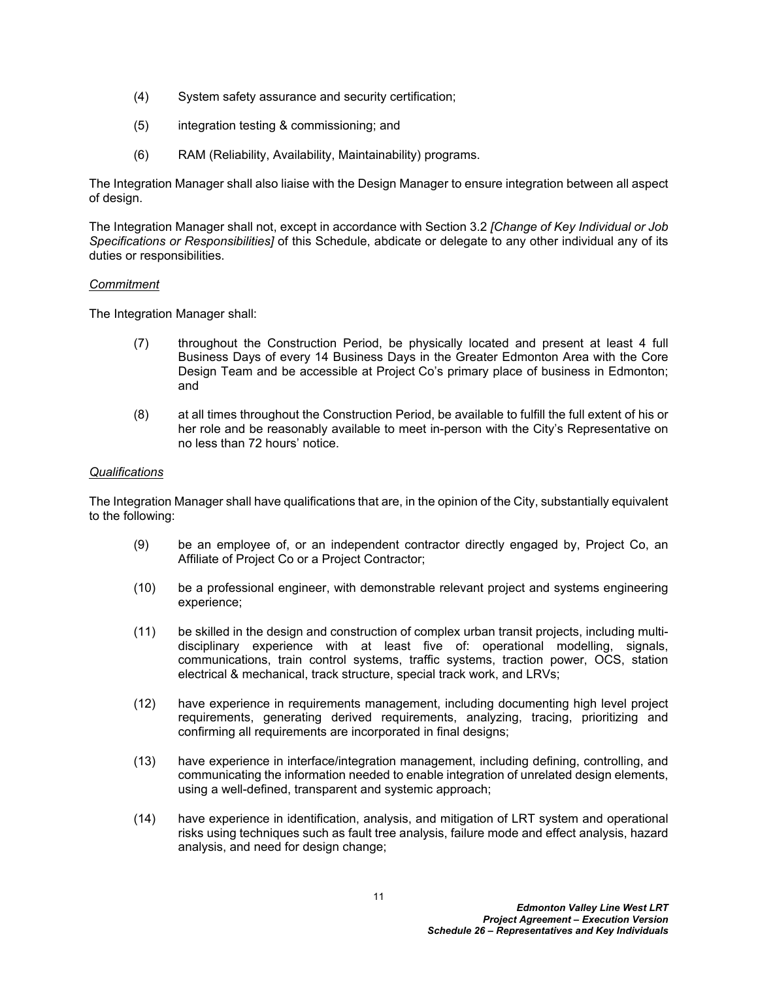- (4) System safety assurance and security certification;
- (5) integration testing & commissioning; and
- (6) RAM (Reliability, Availability, Maintainability) programs.

The Integration Manager shall also liaise with the Design Manager to ensure integration between all aspect of design.

The Integration Manager shall not, except in accordance with Section [3.2](#page-5-2) *[Change of Key Individual or Job Specifications or Responsibilities]* of this Schedule, abdicate or delegate to any other individual any of its duties or responsibilities.

### *Commitment*

The Integration Manager shall:

- (7) throughout the Construction Period, be physically located and present at least 4 full Business Days of every 14 Business Days in the Greater Edmonton Area with the Core Design Team and be accessible at Project Co's primary place of business in Edmonton; and
- (8) at all times throughout the Construction Period, be available to fulfill the full extent of his or her role and be reasonably available to meet in-person with the City's Representative on no less than 72 hours' notice.

### *Qualifications*

The Integration Manager shall have qualifications that are, in the opinion of the City, substantially equivalent to the following:

- (9) be an employee of, or an independent contractor directly engaged by, Project Co, an Affiliate of Project Co or a Project Contractor;
- (10) be a professional engineer, with demonstrable relevant project and systems engineering experience;
- (11) be skilled in the design and construction of complex urban transit projects, including multidisciplinary experience with at least five of: operational modelling, signals, communications, train control systems, traffic systems, traction power, OCS, station electrical & mechanical, track structure, special track work, and LRVs;
- (12) have experience in requirements management, including documenting high level project requirements, generating derived requirements, analyzing, tracing, prioritizing and confirming all requirements are incorporated in final designs;
- (13) have experience in interface/integration management, including defining, controlling, and communicating the information needed to enable integration of unrelated design elements, using a well-defined, transparent and systemic approach;
- (14) have experience in identification, analysis, and mitigation of LRT system and operational risks using techniques such as fault tree analysis, failure mode and effect analysis, hazard analysis, and need for design change;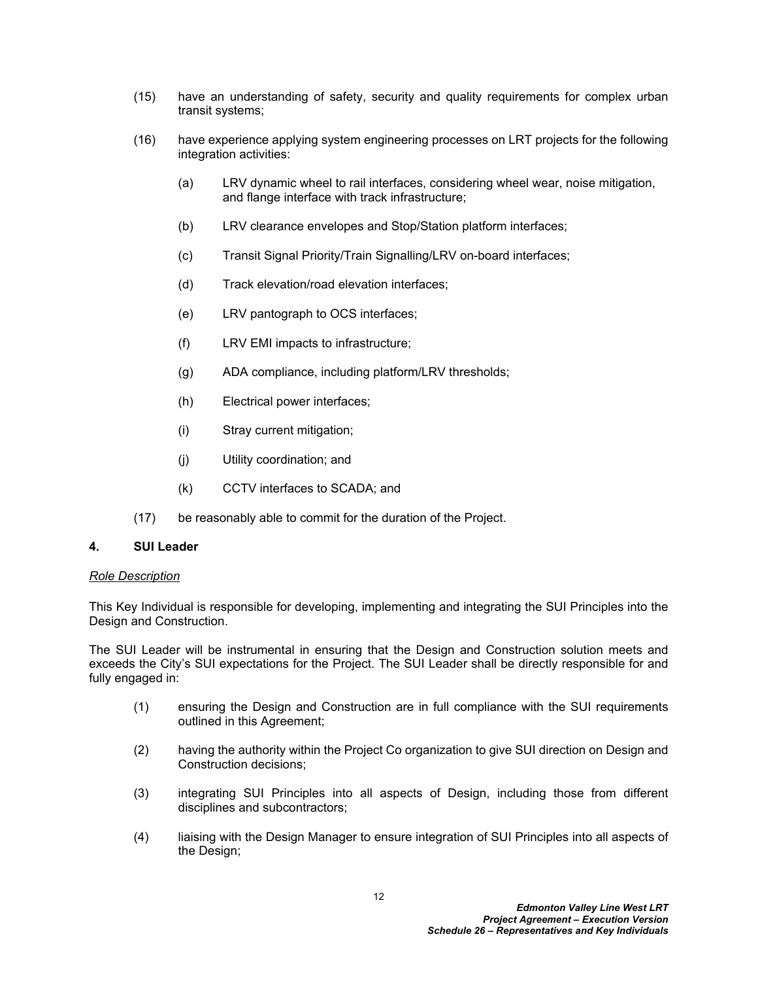- (15) have an understanding of safety, security and quality requirements for complex urban transit systems;
- (16) have experience applying system engineering processes on LRT projects for the following integration activities:
	- (a) LRV dynamic wheel to rail interfaces, considering wheel wear, noise mitigation, and flange interface with track infrastructure;
	- (b) LRV clearance envelopes and Stop/Station platform interfaces;
	- (c) Transit Signal Priority/Train Signalling/LRV on-board interfaces;
	- (d) Track elevation/road elevation interfaces;
	- (e) LRV pantograph to OCS interfaces;
	- (f) LRV EMI impacts to infrastructure;
	- (g) ADA compliance, including platform/LRV thresholds;
	- (h) Electrical power interfaces;
	- (i) Stray current mitigation;
	- (j) Utility coordination; and
	- (k) CCTV interfaces to SCADA; and
- (17) be reasonably able to commit for the duration of the Project.

### **4. SUI Leader**

### *Role Description*

This Key Individual is responsible for developing, implementing and integrating the SUI Principles into the Design and Construction.

The SUI Leader will be instrumental in ensuring that the Design and Construction solution meets and exceeds the City's SUI expectations for the Project. The SUI Leader shall be directly responsible for and fully engaged in:

- (1) ensuring the Design and Construction are in full compliance with the SUI requirements outlined in this Agreement;
- (2) having the authority within the Project Co organization to give SUI direction on Design and Construction decisions;
- (3) integrating SUI Principles into all aspects of Design, including those from different disciplines and subcontractors;
- (4) liaising with the Design Manager to ensure integration of SUI Principles into all aspects of the Design;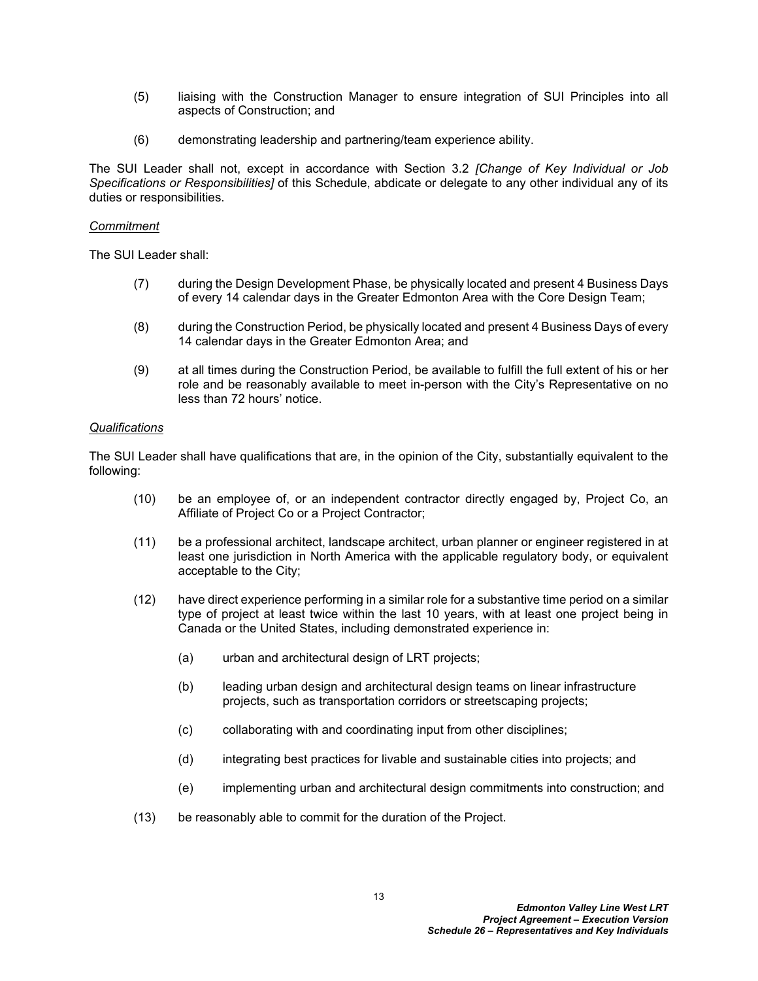- (5) liaising with the Construction Manager to ensure integration of SUI Principles into all aspects of Construction; and
- (6) demonstrating leadership and partnering/team experience ability.

The SUI Leader shall not, except in accordance with Section [3.2](#page-5-2) *[Change of Key Individual or Job Specifications or Responsibilities]* of this Schedule, abdicate or delegate to any other individual any of its duties or responsibilities.

### *Commitment*

The SUI Leader shall:

- (7) during the Design Development Phase, be physically located and present 4 Business Days of every 14 calendar days in the Greater Edmonton Area with the Core Design Team;
- (8) during the Construction Period, be physically located and present 4 Business Days of every 14 calendar days in the Greater Edmonton Area; and
- (9) at all times during the Construction Period, be available to fulfill the full extent of his or her role and be reasonably available to meet in-person with the City's Representative on no less than 72 hours' notice.

### *Qualifications*

The SUI Leader shall have qualifications that are, in the opinion of the City, substantially equivalent to the following:

- (10) be an employee of, or an independent contractor directly engaged by, Project Co, an Affiliate of Project Co or a Project Contractor;
- (11) be a professional architect, landscape architect, urban planner or engineer registered in at least one jurisdiction in North America with the applicable regulatory body, or equivalent acceptable to the City;
- (12) have direct experience performing in a similar role for a substantive time period on a similar type of project at least twice within the last 10 years, with at least one project being in Canada or the United States, including demonstrated experience in:
	- (a) urban and architectural design of LRT projects;
	- (b) leading urban design and architectural design teams on linear infrastructure projects, such as transportation corridors or streetscaping projects;
	- (c) collaborating with and coordinating input from other disciplines;
	- (d) integrating best practices for livable and sustainable cities into projects; and
	- (e) implementing urban and architectural design commitments into construction; and
- (13) be reasonably able to commit for the duration of the Project.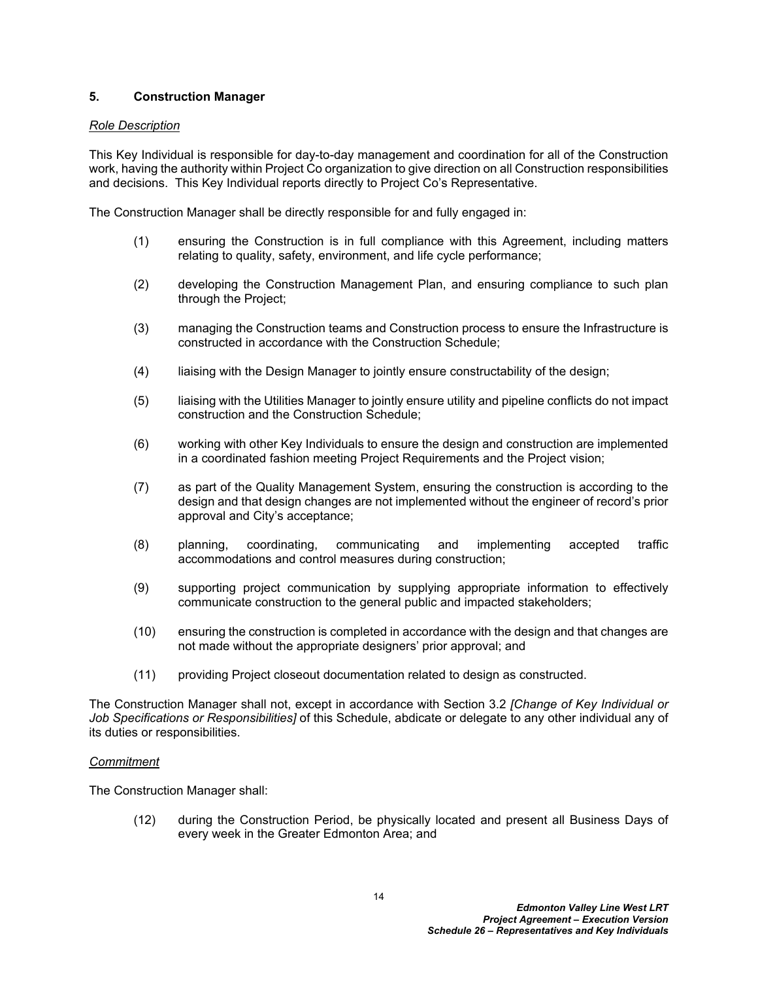# **5. Construction Manager**

## *Role Description*

This Key Individual is responsible for day-to-day management and coordination for all of the Construction work, having the authority within Project Co organization to give direction on all Construction responsibilities and decisions. This Key Individual reports directly to Project Co's Representative.

The Construction Manager shall be directly responsible for and fully engaged in:

- (1) ensuring the Construction is in full compliance with this Agreement, including matters relating to quality, safety, environment, and life cycle performance;
- (2) developing the Construction Management Plan, and ensuring compliance to such plan through the Project;
- (3) managing the Construction teams and Construction process to ensure the Infrastructure is constructed in accordance with the Construction Schedule;
- (4) liaising with the Design Manager to jointly ensure constructability of the design;
- (5) liaising with the Utilities Manager to jointly ensure utility and pipeline conflicts do not impact construction and the Construction Schedule;
- (6) working with other Key Individuals to ensure the design and construction are implemented in a coordinated fashion meeting Project Requirements and the Project vision;
- (7) as part of the Quality Management System, ensuring the construction is according to the design and that design changes are not implemented without the engineer of record's prior approval and City's acceptance;
- (8) planning, coordinating, communicating and implementing accepted traffic accommodations and control measures during construction;
- (9) supporting project communication by supplying appropriate information to effectively communicate construction to the general public and impacted stakeholders;
- (10) ensuring the construction is completed in accordance with the design and that changes are not made without the appropriate designers' prior approval; and
- (11) providing Project closeout documentation related to design as constructed.

The Construction Manager shall not, except in accordance with Section [3.2](#page-5-2) *[Change of Key Individual or Job Specifications or Responsibilities]* of this Schedule, abdicate or delegate to any other individual any of its duties or responsibilities.

### *Commitment*

The Construction Manager shall:

(12) during the Construction Period, be physically located and present all Business Days of every week in the Greater Edmonton Area; and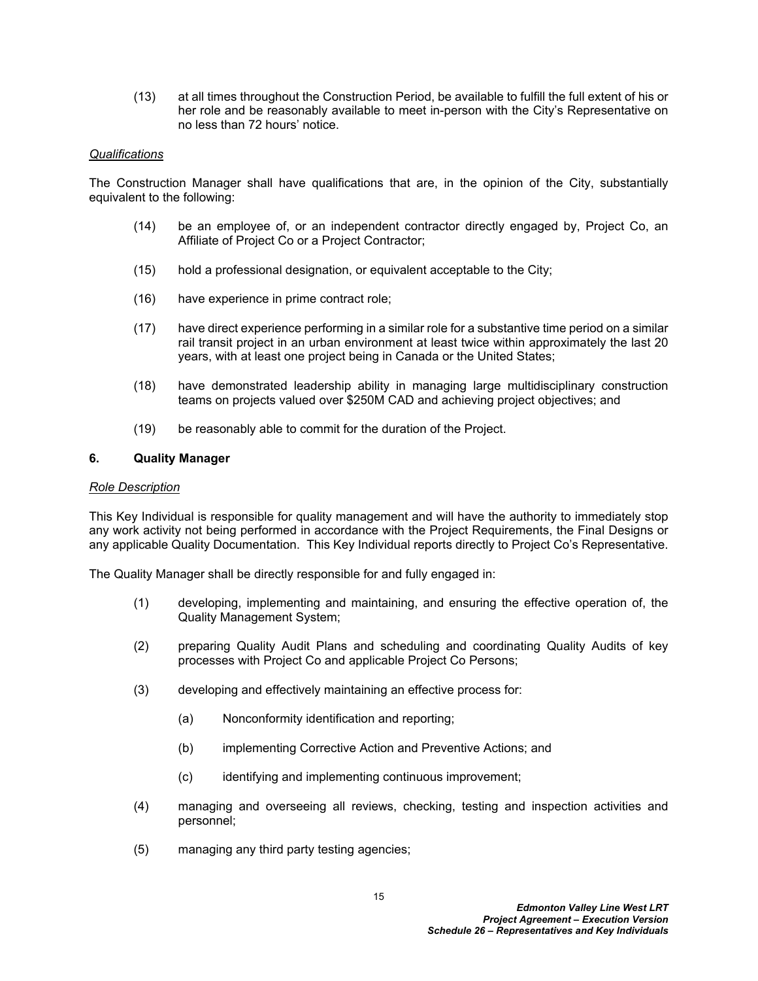(13) at all times throughout the Construction Period, be available to fulfill the full extent of his or her role and be reasonably available to meet in-person with the City's Representative on no less than 72 hours' notice.

### *Qualifications*

The Construction Manager shall have qualifications that are, in the opinion of the City, substantially equivalent to the following:

- (14) be an employee of, or an independent contractor directly engaged by, Project Co, an Affiliate of Project Co or a Project Contractor;
- (15) hold a professional designation, or equivalent acceptable to the City;
- (16) have experience in prime contract role;
- (17) have direct experience performing in a similar role for a substantive time period on a similar rail transit project in an urban environment at least twice within approximately the last 20 years, with at least one project being in Canada or the United States;
- (18) have demonstrated leadership ability in managing large multidisciplinary construction teams on projects valued over \$250M CAD and achieving project objectives; and
- (19) be reasonably able to commit for the duration of the Project.

### **6. Quality Manager**

#### *Role Description*

This Key Individual is responsible for quality management and will have the authority to immediately stop any work activity not being performed in accordance with the Project Requirements, the Final Designs or any applicable Quality Documentation. This Key Individual reports directly to Project Co's Representative.

The Quality Manager shall be directly responsible for and fully engaged in:

- (1) developing, implementing and maintaining, and ensuring the effective operation of, the Quality Management System;
- (2) preparing Quality Audit Plans and scheduling and coordinating Quality Audits of key processes with Project Co and applicable Project Co Persons;
- (3) developing and effectively maintaining an effective process for:
	- (a) Nonconformity identification and reporting;
	- (b) implementing Corrective Action and Preventive Actions; and
	- (c) identifying and implementing continuous improvement;
- (4) managing and overseeing all reviews, checking, testing and inspection activities and personnel;
- (5) managing any third party testing agencies;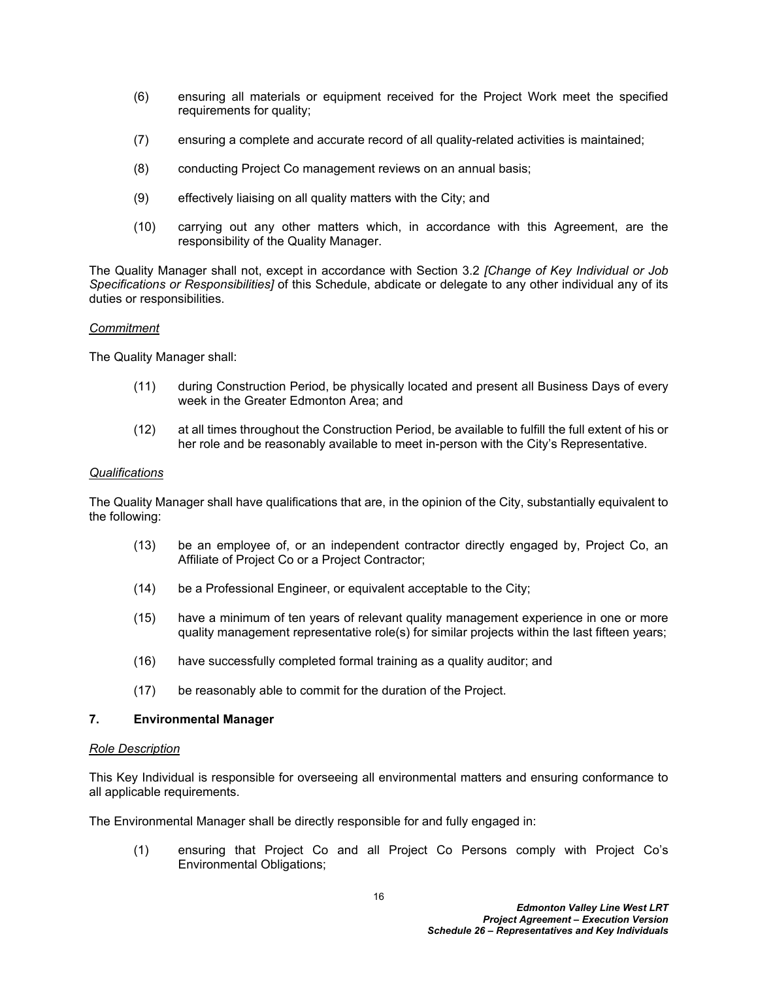- (6) ensuring all materials or equipment received for the Project Work meet the specified requirements for quality;
- (7) ensuring a complete and accurate record of all quality-related activities is maintained;
- (8) conducting Project Co management reviews on an annual basis;
- (9) effectively liaising on all quality matters with the City; and
- (10) carrying out any other matters which, in accordance with this Agreement, are the responsibility of the Quality Manager.

The Quality Manager shall not, except in accordance with Section [3.2](#page-5-2) *[Change of Key Individual or Job Specifications or Responsibilities]* of this Schedule, abdicate or delegate to any other individual any of its duties or responsibilities.

### *Commitment*

The Quality Manager shall:

- (11) during Construction Period, be physically located and present all Business Days of every week in the Greater Edmonton Area; and
- (12) at all times throughout the Construction Period, be available to fulfill the full extent of his or her role and be reasonably available to meet in-person with the City's Representative.

### *Qualifications*

The Quality Manager shall have qualifications that are, in the opinion of the City, substantially equivalent to the following:

- (13) be an employee of, or an independent contractor directly engaged by, Project Co, an Affiliate of Project Co or a Project Contractor;
- (14) be a Professional Engineer, or equivalent acceptable to the City;
- (15) have a minimum of ten years of relevant quality management experience in one or more quality management representative role(s) for similar projects within the last fifteen years;
- (16) have successfully completed formal training as a quality auditor; and
- (17) be reasonably able to commit for the duration of the Project.

# **7. Environmental Manager**

#### *Role Description*

This Key Individual is responsible for overseeing all environmental matters and ensuring conformance to all applicable requirements.

The Environmental Manager shall be directly responsible for and fully engaged in:

(1) ensuring that Project Co and all Project Co Persons comply with Project Co's Environmental Obligations;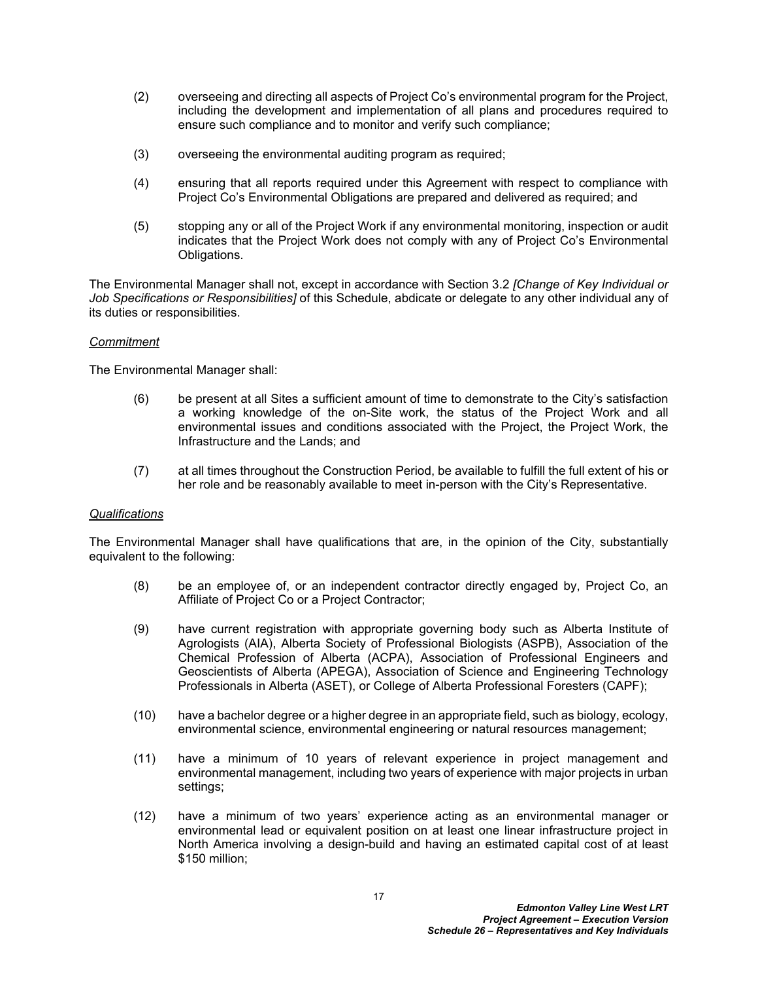- (2) overseeing and directing all aspects of Project Co's environmental program for the Project, including the development and implementation of all plans and procedures required to ensure such compliance and to monitor and verify such compliance;
- (3) overseeing the environmental auditing program as required;
- (4) ensuring that all reports required under this Agreement with respect to compliance with Project Co's Environmental Obligations are prepared and delivered as required; and
- (5) stopping any or all of the Project Work if any environmental monitoring, inspection or audit indicates that the Project Work does not comply with any of Project Co's Environmental Obligations.

The Environmental Manager shall not, except in accordance with Section [3.2](#page-5-2) *[Change of Key Individual or Job Specifications or Responsibilities]* of this Schedule, abdicate or delegate to any other individual any of its duties or responsibilities.

# *Commitment*

The Environmental Manager shall:

- (6) be present at all Sites a sufficient amount of time to demonstrate to the City's satisfaction a working knowledge of the on-Site work, the status of the Project Work and all environmental issues and conditions associated with the Project, the Project Work, the Infrastructure and the Lands; and
- (7) at all times throughout the Construction Period, be available to fulfill the full extent of his or her role and be reasonably available to meet in-person with the City's Representative.

# *Qualifications*

The Environmental Manager shall have qualifications that are, in the opinion of the City, substantially equivalent to the following:

- (8) be an employee of, or an independent contractor directly engaged by, Project Co, an Affiliate of Project Co or a Project Contractor;
- (9) have current registration with appropriate governing body such as Alberta Institute of Agrologists (AIA), Alberta Society of Professional Biologists (ASPB), Association of the Chemical Profession of Alberta (ACPA), Association of Professional Engineers and Geoscientists of Alberta (APEGA), Association of Science and Engineering Technology Professionals in Alberta (ASET), or College of Alberta Professional Foresters (CAPF);
- (10) have a bachelor degree or a higher degree in an appropriate field, such as biology, ecology, environmental science, environmental engineering or natural resources management;
- (11) have a minimum of 10 years of relevant experience in project management and environmental management, including two years of experience with major projects in urban settings;
- (12) have a minimum of two years' experience acting as an environmental manager or environmental lead or equivalent position on at least one linear infrastructure project in North America involving a design-build and having an estimated capital cost of at least \$150 million;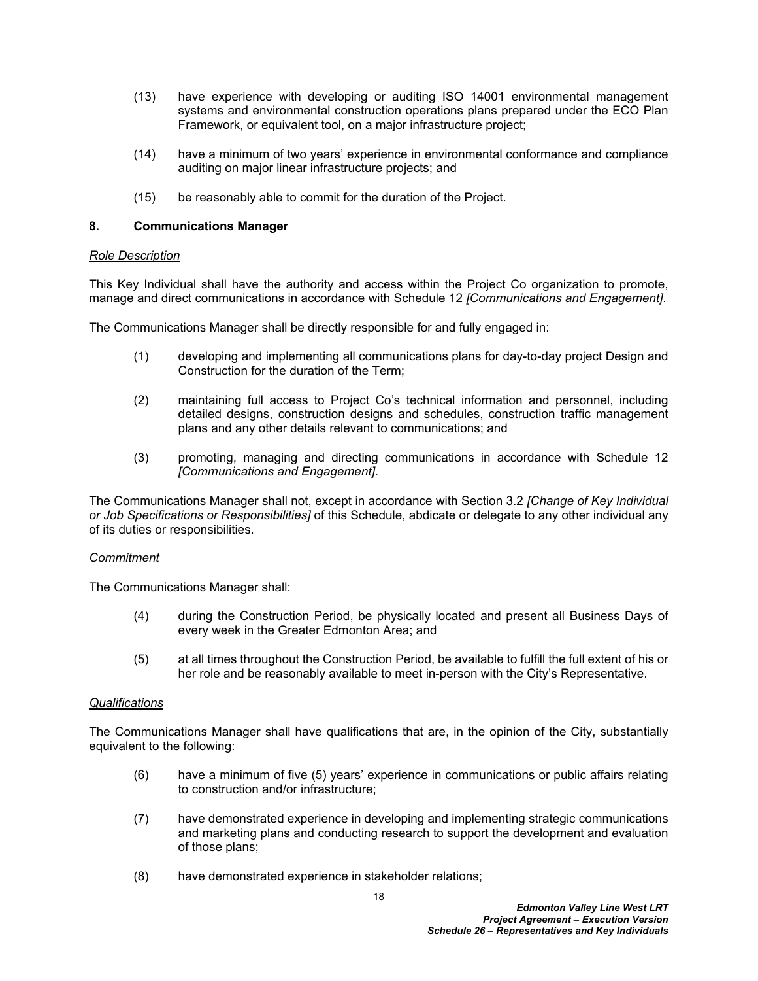- (13) have experience with developing or auditing ISO 14001 environmental management systems and environmental construction operations plans prepared under the ECO Plan Framework, or equivalent tool, on a major infrastructure project;
- (14) have a minimum of two years' experience in environmental conformance and compliance auditing on major linear infrastructure projects; and
- (15) be reasonably able to commit for the duration of the Project.

## **8. Communications Manager**

# *Role Description*

This Key Individual shall have the authority and access within the Project Co organization to promote, manage and direct communications in accordance with Schedule 12 *[Communications and Engagement]*.

The Communications Manager shall be directly responsible for and fully engaged in:

- (1) developing and implementing all communications plans for day-to-day project Design and Construction for the duration of the Term;
- (2) maintaining full access to Project Co's technical information and personnel, including detailed designs, construction designs and schedules, construction traffic management plans and any other details relevant to communications; and
- (3) promoting, managing and directing communications in accordance with Schedule 12 *[Communications and Engagement]*.

The Communications Manager shall not, except in accordance with Section [3.2](#page-5-2) *[Change of Key Individual or Job Specifications or Responsibilities]* of this Schedule, abdicate or delegate to any other individual any of its duties or responsibilities.

### *Commitment*

The Communications Manager shall:

- (4) during the Construction Period, be physically located and present all Business Days of every week in the Greater Edmonton Area; and
- (5) at all times throughout the Construction Period, be available to fulfill the full extent of his or her role and be reasonably available to meet in-person with the City's Representative.

# *Qualifications*

The Communications Manager shall have qualifications that are, in the opinion of the City, substantially equivalent to the following:

- (6) have a minimum of five (5) years' experience in communications or public affairs relating to construction and/or infrastructure;
- (7) have demonstrated experience in developing and implementing strategic communications and marketing plans and conducting research to support the development and evaluation of those plans;
- (8) have demonstrated experience in stakeholder relations;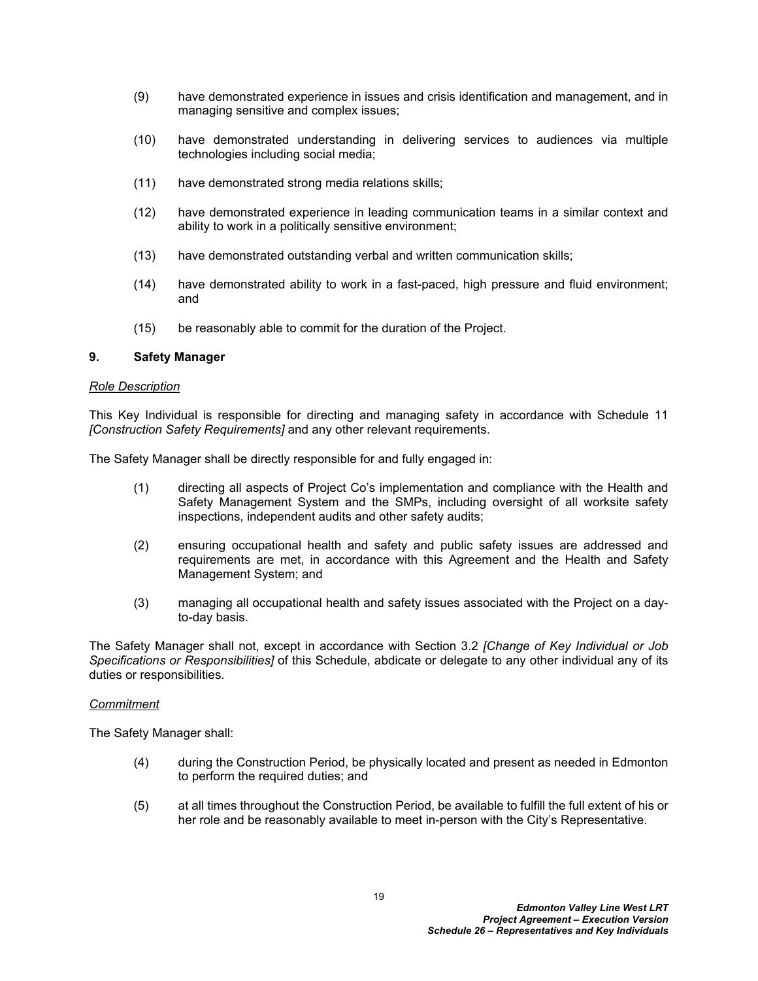- (9) have demonstrated experience in issues and crisis identification and management, and in managing sensitive and complex issues;
- (10) have demonstrated understanding in delivering services to audiences via multiple technologies including social media;
- (11) have demonstrated strong media relations skills;
- (12) have demonstrated experience in leading communication teams in a similar context and ability to work in a politically sensitive environment;
- (13) have demonstrated outstanding verbal and written communication skills;
- (14) have demonstrated ability to work in a fast-paced, high pressure and fluid environment; and
- (15) be reasonably able to commit for the duration of the Project.

### **9. Safety Manager**

#### *Role Description*

This Key Individual is responsible for directing and managing safety in accordance with Schedule 11 *[Construction Safety Requirements]* and any other relevant requirements.

The Safety Manager shall be directly responsible for and fully engaged in:

- (1) directing all aspects of Project Co's implementation and compliance with the Health and Safety Management System and the SMPs, including oversight of all worksite safety inspections, independent audits and other safety audits;
- (2) ensuring occupational health and safety and public safety issues are addressed and requirements are met, in accordance with this Agreement and the Health and Safety Management System; and
- (3) managing all occupational health and safety issues associated with the Project on a dayto-day basis.

The Safety Manager shall not, except in accordance with Section [3.2](#page-5-2) *[Change of Key Individual or Job Specifications or Responsibilities]* of this Schedule, abdicate or delegate to any other individual any of its duties or responsibilities.

#### *Commitment*

The Safety Manager shall:

- (4) during the Construction Period, be physically located and present as needed in Edmonton to perform the required duties; and
- (5) at all times throughout the Construction Period, be available to fulfill the full extent of his or her role and be reasonably available to meet in-person with the City's Representative.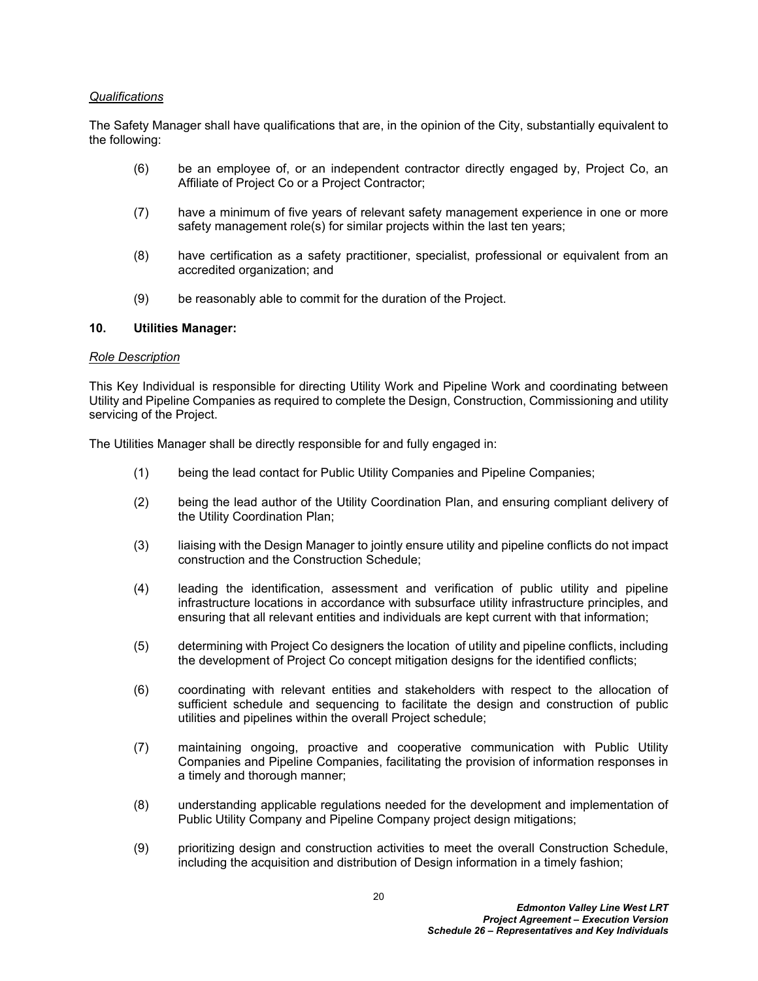### *Qualifications*

The Safety Manager shall have qualifications that are, in the opinion of the City, substantially equivalent to the following:

- (6) be an employee of, or an independent contractor directly engaged by, Project Co, an Affiliate of Project Co or a Project Contractor;
- (7) have a minimum of five years of relevant safety management experience in one or more safety management role(s) for similar projects within the last ten years;
- (8) have certification as a safety practitioner, specialist, professional or equivalent from an accredited organization; and
- (9) be reasonably able to commit for the duration of the Project.

# **10. Utilities Manager:**

### *Role Description*

This Key Individual is responsible for directing Utility Work and Pipeline Work and coordinating between Utility and Pipeline Companies as required to complete the Design, Construction, Commissioning and utility servicing of the Project.

The Utilities Manager shall be directly responsible for and fully engaged in:

- (1) being the lead contact for Public Utility Companies and Pipeline Companies;
- (2) being the lead author of the Utility Coordination Plan, and ensuring compliant delivery of the Utility Coordination Plan;
- (3) liaising with the Design Manager to jointly ensure utility and pipeline conflicts do not impact construction and the Construction Schedule;
- (4) leading the identification, assessment and verification of public utility and pipeline infrastructure locations in accordance with subsurface utility infrastructure principles, and ensuring that all relevant entities and individuals are kept current with that information;
- (5) determining with Project Co designers the location of utility and pipeline conflicts, including the development of Project Co concept mitigation designs for the identified conflicts;
- (6) coordinating with relevant entities and stakeholders with respect to the allocation of sufficient schedule and sequencing to facilitate the design and construction of public utilities and pipelines within the overall Project schedule;
- (7) maintaining ongoing, proactive and cooperative communication with Public Utility Companies and Pipeline Companies, facilitating the provision of information responses in a timely and thorough manner;
- (8) understanding applicable regulations needed for the development and implementation of Public Utility Company and Pipeline Company project design mitigations;
- (9) prioritizing design and construction activities to meet the overall Construction Schedule, including the acquisition and distribution of Design information in a timely fashion;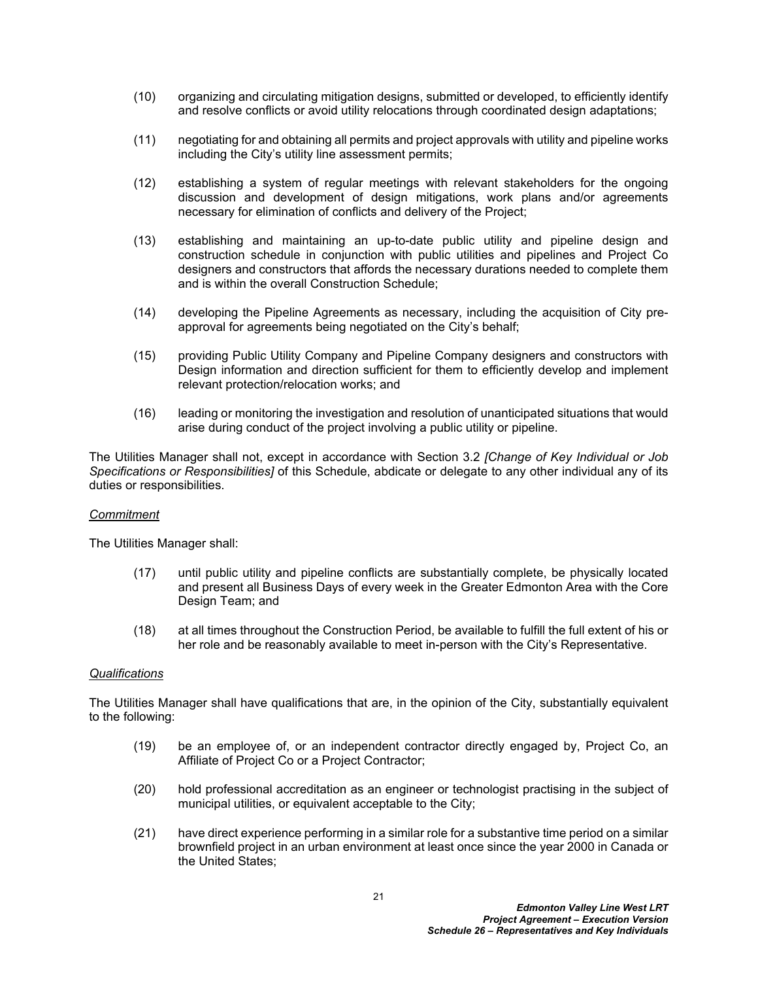- (10) organizing and circulating mitigation designs, submitted or developed, to efficiently identify and resolve conflicts or avoid utility relocations through coordinated design adaptations;
- (11) negotiating for and obtaining all permits and project approvals with utility and pipeline works including the City's utility line assessment permits;
- (12) establishing a system of regular meetings with relevant stakeholders for the ongoing discussion and development of design mitigations, work plans and/or agreements necessary for elimination of conflicts and delivery of the Project;
- (13) establishing and maintaining an up-to-date public utility and pipeline design and construction schedule in conjunction with public utilities and pipelines and Project Co designers and constructors that affords the necessary durations needed to complete them and is within the overall Construction Schedule;
- (14) developing the Pipeline Agreements as necessary, including the acquisition of City preapproval for agreements being negotiated on the City's behalf;
- (15) providing Public Utility Company and Pipeline Company designers and constructors with Design information and direction sufficient for them to efficiently develop and implement relevant protection/relocation works; and
- (16) leading or monitoring the investigation and resolution of unanticipated situations that would arise during conduct of the project involving a public utility or pipeline.

The Utilities Manager shall not, except in accordance with Section [3.2](#page-5-2) *[Change of Key Individual or Job Specifications or Responsibilities]* of this Schedule, abdicate or delegate to any other individual any of its duties or responsibilities.

### *Commitment*

The Utilities Manager shall:

- (17) until public utility and pipeline conflicts are substantially complete, be physically located and present all Business Days of every week in the Greater Edmonton Area with the Core Design Team; and
- (18) at all times throughout the Construction Period, be available to fulfill the full extent of his or her role and be reasonably available to meet in-person with the City's Representative.

### *Qualifications*

The Utilities Manager shall have qualifications that are, in the opinion of the City, substantially equivalent to the following:

- (19) be an employee of, or an independent contractor directly engaged by, Project Co, an Affiliate of Project Co or a Project Contractor;
- (20) hold professional accreditation as an engineer or technologist practising in the subject of municipal utilities, or equivalent acceptable to the City;
- (21) have direct experience performing in a similar role for a substantive time period on a similar brownfield project in an urban environment at least once since the year 2000 in Canada or the United States;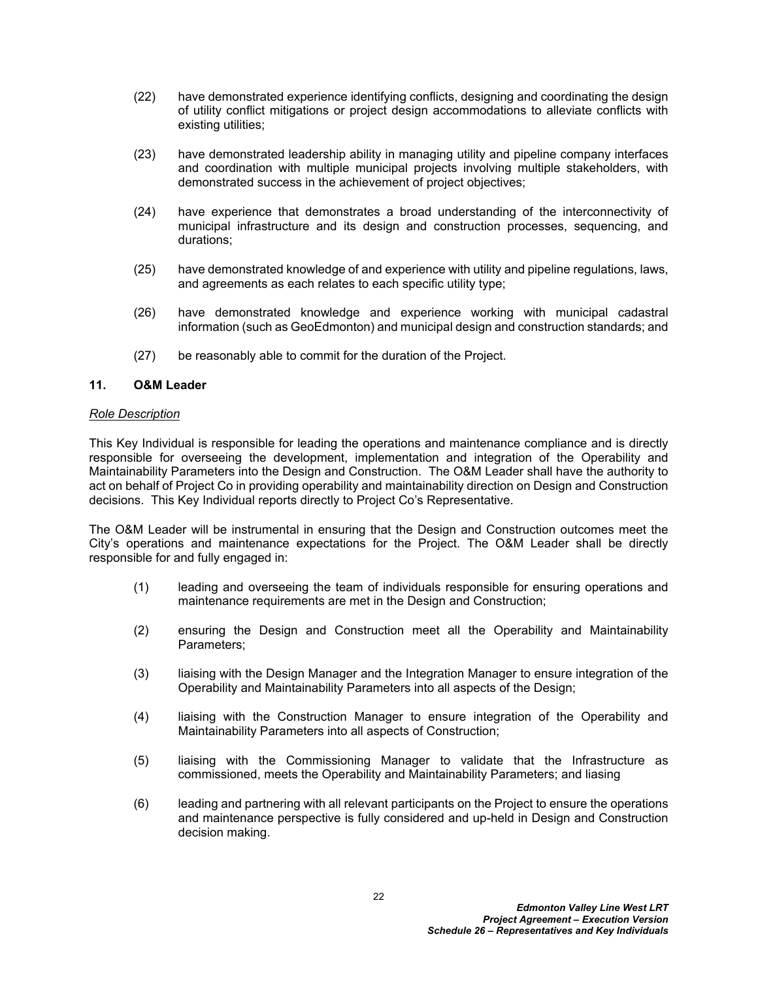- (22) have demonstrated experience identifying conflicts, designing and coordinating the design of utility conflict mitigations or project design accommodations to alleviate conflicts with existing utilities;
- (23) have demonstrated leadership ability in managing utility and pipeline company interfaces and coordination with multiple municipal projects involving multiple stakeholders, with demonstrated success in the achievement of project objectives;
- (24) have experience that demonstrates a broad understanding of the interconnectivity of municipal infrastructure and its design and construction processes, sequencing, and durations;
- (25) have demonstrated knowledge of and experience with utility and pipeline regulations, laws, and agreements as each relates to each specific utility type;
- (26) have demonstrated knowledge and experience working with municipal cadastral information (such as GeoEdmonton) and municipal design and construction standards; and
- (27) be reasonably able to commit for the duration of the Project.

# **11. O&M Leader**

### *Role Description*

This Key Individual is responsible for leading the operations and maintenance compliance and is directly responsible for overseeing the development, implementation and integration of the Operability and Maintainability Parameters into the Design and Construction. The O&M Leader shall have the authority to act on behalf of Project Co in providing operability and maintainability direction on Design and Construction decisions. This Key Individual reports directly to Project Co's Representative.

The O&M Leader will be instrumental in ensuring that the Design and Construction outcomes meet the City's operations and maintenance expectations for the Project. The O&M Leader shall be directly responsible for and fully engaged in:

- (1) leading and overseeing the team of individuals responsible for ensuring operations and maintenance requirements are met in the Design and Construction;
- (2) ensuring the Design and Construction meet all the Operability and Maintainability Parameters;
- (3) liaising with the Design Manager and the Integration Manager to ensure integration of the Operability and Maintainability Parameters into all aspects of the Design;
- (4) liaising with the Construction Manager to ensure integration of the Operability and Maintainability Parameters into all aspects of Construction;
- (5) liaising with the Commissioning Manager to validate that the Infrastructure as commissioned, meets the Operability and Maintainability Parameters; and liasing
- (6) leading and partnering with all relevant participants on the Project to ensure the operations and maintenance perspective is fully considered and up-held in Design and Construction decision making.